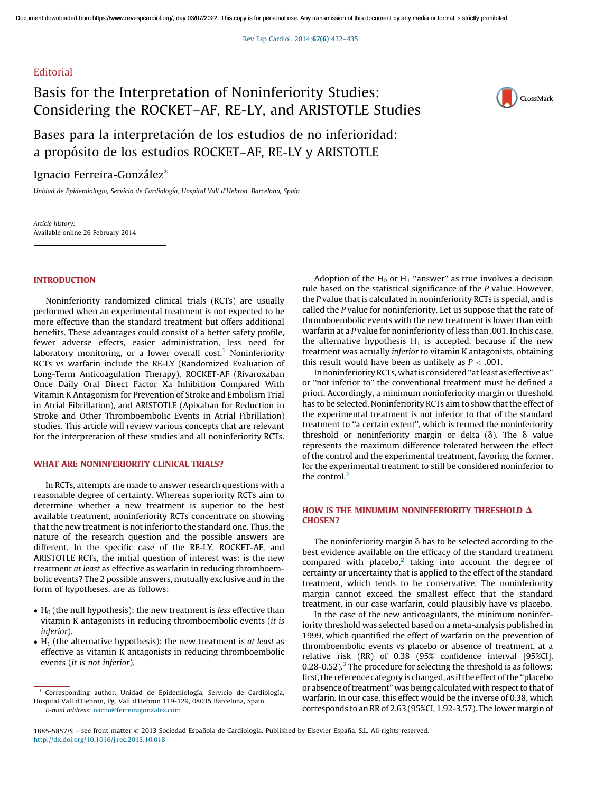## **Editorial**

# Basis for the Interpretation of Noninferiority Studies: Considering the ROCKET–AF, RE-LY, and ARISTOTLE Studies



Bases para la interpretación de los estudios de no inferioridad: a propósito de los estudios ROCKET–AF, RE-LY y ARISTOTLE

# Ignacio Ferreira-González\*

*Unidad de Epidemiologı´a, Servicio de Cardiologı´a, Hospital Vall d'Hebron, Barcelona, Spain*

*Article history:* Available online 26 February 2014

### INTRODUCTION

Noninferiority randomized clinical trials (RCTs) are usually performed when an experimental treatment is not expected to be more effective than the standard treatment but offers additional benefits. These advantages could consist of a better safety profile, fewer adverse effects, easier administration, less need for laboratory monitoring, or a lower overall cost.<sup>[1](#page-2-0)</sup> Noninferiority RCTs vs warfarin include the RE-LY (Randomized Evaluation of Long-Term Anticoagulation Therapy), ROCKET-AF (Rivaroxaban Once Daily Oral Direct Factor Xa Inhibition Compared With Vitamin K Antagonism for Prevention of Stroke and Embolism Trial in Atrial Fibrillation), and ARISTOTLE (Apixaban for Reduction in Stroke and Other Thromboembolic Events in Atrial Fibrillation) studies. This article will review various concepts that are relevant for the interpretation of these studies and all noninferiority RCTs.

#### WHAT ARE NONINFERIORITY CLINICAL TRIALS?

In RCTs, attempts are made to answer research questions with a reasonable degree of certainty. Whereas superiority RCTs aim to determine whether a new treatment is superior to the best available treatment, noninferiority RCTs concentrate on showing that the new treatment is not inferior to the standard one. Thus, the nature of the research question and the possible answers are different. In the specific case of the RE-LY, ROCKET-AF, and ARISTOTLE RCTs, the initial question of interest was: is the new treatment *at least* as effective as warfarin in reducing thromboembolic events? The 2 possible answers, mutually exclusive and in the form of hypotheses, are as follows:

- $\bullet$  H<sub>0</sub> (the null hypothesis): the new treatment is *less* effective than vitamin K antagonists in reducing thromboembolic events (*it is inferior*).
- $\bullet$  H<sub>1</sub> (the alternative hypothesis): the new treatment is *at least* as effective as vitamin K antagonists in reducing thromboembolic events (*it is not inferior*).

Adoption of the  $H_0$  or  $H_1$  "answer" as true involves a decision rule based on the statistical significance of the *P* value. However, the *P* value that is calculated in noninferiority RCTs is special, and is called the *P* value for noninferiority. Let us suppose that the rate of thromboembolic events with the new treatment is lower than with warfarin at a *P* value for noninferiority of less than .001. In this case, the alternative hypothesis  $H_1$  is accepted, because if the new treatment was actually *inferior* to vitamin K antagonists, obtaining this result would have been as unlikely as *P* < .001.

InnoninferiorityRCTs, whatis considered''atleast as effective as'' or ''not inferior to'' the conventional treatment must be defined a priori. Accordingly, a minimum noninferiority margin or threshold has to be selected. Noninferiority RCTs aim to show that the effect of the experimental treatment is not inferior to that of the standard treatment to ''a certain extent'', which is termed the noninferiority threshold or noninferiority margin or delta  $(\delta)$ . The  $\delta$  value represents the maximum difference tolerated between the effect of the control and the experimental treatment, favoring the former, for the experimental treatment to still be considered noninferior to the control.<sup>[2](#page-2-0)</sup>

## HOW IS THE MINUMUM NONINFERIORITY THRESHOLD  $\Delta$ CHOSEN?

The noninferiority margin  $\delta$  has to be selected according to the best evidence available on the efficacy of the standard treatment compared with placebo, $2$  taking into account the degree of certainty or uncertainty that is applied to the effect of the standard treatment, which tends to be conservative. The noninferiority margin cannot exceed the smallest effect that the standard treatment, in our case warfarin, could plausibly have vs placebo.

In the case of the new anticoagulants, the minimum noninferiority threshold was selected based on a meta-analysis published in 1999, which quantified the effect of warfarin on the prevention of thromboembolic events vs placebo or absence of treatment, at a relative risk (RR) of 0.38 (95% confidence interval [95%CI],  $0.28$ -0.52).<sup>[3](#page-2-0)</sup> The procedure for selecting the threshold is as follows: first, the reference category is changed, as if the effect of the "placebo or absence of treatment" was being calculated with respect to that of warfarin. In our case, this effect would be the inverse of 0.38, which corresponds to an RR of 2.63 (95%CI, 1.92-3.57). The lower margin of

Corresponding author. Unidad de Epidemiología, Servicio de Cardiología, Hospital Vall d'Hebron, Pg. Vall d'Hebron 119-129, 08035 Barcelona, Spain. *E-mail address:* [nacho@ferreiragonzalez.com](mailto:nacho@ferreiragonzalez.com)

<sup>1885-5857/\$ -</sup> see front matter @ 2013 Sociedad Española de Cardiología. Published by Elsevier España, S.L. All rights reserved. <http://dx.doi.org/10.1016/j.rec.2013.10.018>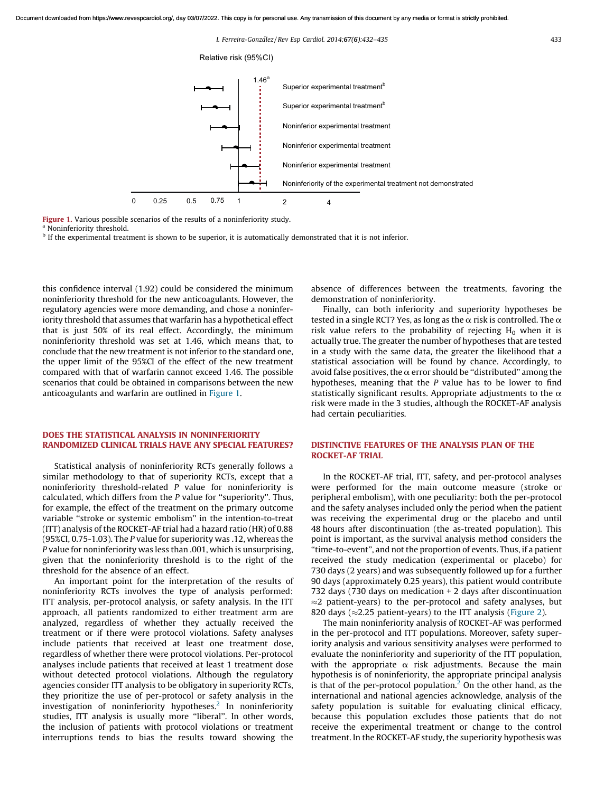*I. Ferreira-Gonza´lez / Rev Esp Cardiol. 2014;*67(6)*:432–435* 433



Figure 1. Various possible scenarios of the results of a noninferiority study.

<sup>a</sup> Noninferiority threshold.

<sup>b</sup> If the experimental treatment is shown to be superior, it is automatically demonstrated that it is not inferior.

this confidence interval (1.92) could be considered the minimum noninferiority threshold for the new anticoagulants. However, the regulatory agencies were more demanding, and chose a noninferiority threshold that assumes that warfarin has a hypothetical effect that is just 50% of its real effect. Accordingly, the minimum noninferiority threshold was set at 1.46, which means that, to conclude that the new treatment is not inferior to the standard one, the upper limit of the 95%CI of the effect of the new treatment compared with that of warfarin cannot exceed 1.46. The possible scenarios that could be obtained in comparisons between the new anticoagulants and warfarin are outlined in Figure 1.

#### DOES THE STATISTICAL ANALYSIS IN NONINFERIORITY RANDOMIZED CLINICAL TRIALS HAVE ANY SPECIAL FEATURES?

Statistical analysis of noninferiority RCTs generally follows a similar methodology to that of superiority RCTs, except that a noninferiority threshold-related *P* value for noninferiority is calculated, which differs from the *P* value for ''superiority''. Thus, for example, the effect of the treatment on the primary outcome variable ''stroke or systemic embolism'' in the intention-to-treat (ITT) analysis of the ROCKET-AF trial had a hazard ratio (HR) of 0.88 (95%CI, 0.75-1.03). The *P* value for superiority was .12, whereas the *P* value for noninferiority was less than .001, which is unsurprising, given that the noninferiority threshold is to the right of the threshold for the absence of an effect.

An important point for the interpretation of the results of noninferiority RCTs involves the type of analysis performed: ITT analysis, per-protocol analysis, or safety analysis. In the ITT approach, all patients randomized to either treatment arm are analyzed, regardless of whether they actually received the treatment or if there were protocol violations. Safety analyses include patients that received at least one treatment dose, regardless of whether there were protocol violations. Per-protocol analyses include patients that received at least 1 treatment dose without detected protocol violations. Although the regulatory agencies consider ITT analysis to be obligatory in superiority RCTs, they prioritize the use of per-protocol or safety analysis in the investigation of noninferiority hypotheses.<sup>[2](#page-2-0)</sup> In noninferiority studies, ITT analysis is usually more ''liberal''. In other words, the inclusion of patients with protocol violations or treatment interruptions tends to bias the results toward showing the

absence of differences between the treatments, favoring the demonstration of noninferiority.

Finally, can both inferiority and superiority hypotheses be tested in a single RCT? Yes, as long as the  $\alpha$  risk is controlled. The  $\alpha$ risk value refers to the probability of rejecting  $H_0$  when it is actually true. The greater the number of hypotheses that are tested in a study with the same data, the greater the likelihood that a statistical association will be found by chance. Accordingly, to avoid false positives, the  $\alpha$  error should be "distributed" among the hypotheses, meaning that the *P* value has to be lower to find statistically significant results. Appropriate adjustments to the  $\alpha$ risk were made in the 3 studies, although the ROCKET-AF analysis had certain peculiarities.

## DISTINCTIVE FEATURES OF THE ANALYSIS PLAN OF THE ROCKET-AF TRIAL

In the ROCKET-AF trial, ITT, safety, and per-protocol analyses were performed for the main outcome measure (stroke or peripheral embolism), with one peculiarity: both the per-protocol and the safety analyses included only the period when the patient was receiving the experimental drug or the placebo and until 48 hours after discontinuation (the as-treated population). This point is important, as the survival analysis method considers the ''time-to-event'', and not the proportion of events. Thus, if a patient received the study medication (experimental or placebo) for 730 days (2 years) and was subsequently followed up for a further 90 days (approximately 0.25 years), this patient would contribute 732 days (730 days on medication + 2 days after discontinuation  $\approx$ 2 patient-years) to the per-protocol and safety analyses, but 820 days ( $\approx$ 2.25 patient-years) to the ITT analysis [\(Figure](#page-2-0) 2).

The main noninferiority analysis of ROCKET-AF was performed in the per-protocol and ITT populations. Moreover, safety superiority analysis and various sensitivity analyses were performed to evaluate the noninferiority and superiority of the ITT population, with the appropriate  $\alpha$  risk adjustments. Because the main hypothesis is of noninferiority, the appropriate principal analysis is that of the per-protocol population.<sup>[2](#page-2-0)</sup> On the other hand, as the international and national agencies acknowledge, analysis of the safety population is suitable for evaluating clinical efficacy, because this population excludes those patients that do not receive the experimental treatment or change to the control treatment. In the ROCKET-AF study, the superiority hypothesis was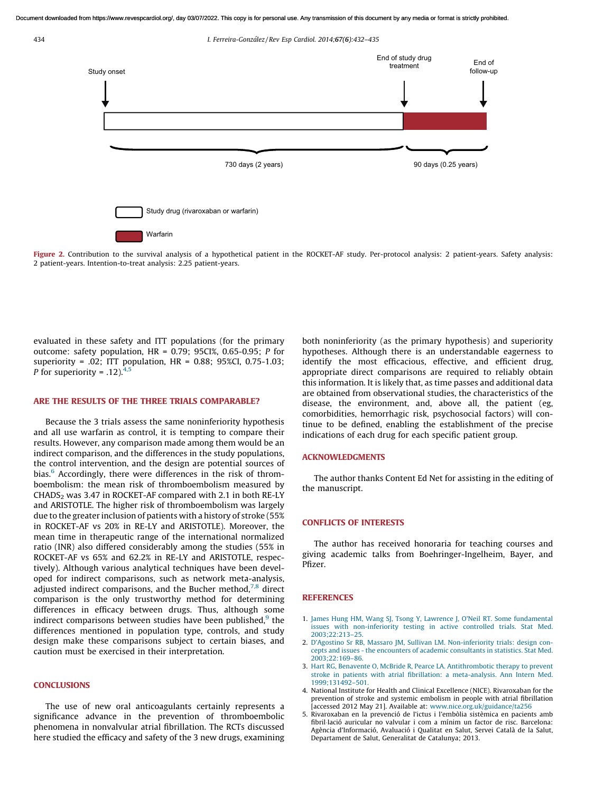<span id="page-2-0"></span>Document downloaded from https://www.revespcardiol.org/, day 03/07/2022. This copy is for personal use. Any transmission of this document by any media or format is strictly prohibited.

434 *I. Ferreira-Gonza´lez / Rev Esp Cardiol. 2014;*67(6)*:432–435*



Figure 2. Contribution to the survival analysis of a hypothetical patient in the ROCKET-AF study. Per-protocol analysis: 2 patient-years. Safety analysis: 2 patient-years. Intention-to-treat analysis: 2.25 patient-years.

evaluated in these safety and ITT populations (for the primary outcome: safety population, HR = 0.79; 95CI%, 0.65-0.95; *P* for superiority = .02; ITT population, HR = 0.88; 95%CI, 0.75-1.03; *P* for superiority = .12).<sup>4,5</sup>

#### ARE THE RESULTS OF THE THREE TRIALS COMPARABLE?

Because the 3 trials assess the same noninferiority hypothesis and all use warfarin as control, it is tempting to compare their results. However, any comparison made among them would be an indirect comparison, and the differences in the study populations, the control intervention, and the design are potential sources of bias. $6$  Accordingly, there were differences in the risk of thromboembolism: the mean risk of thromboembolism measured by  $CHADS<sub>2</sub>$  was 3.47 in ROCKET-AF compared with 2.1 in both RE-LY and ARISTOTLE. The higher risk of thromboembolism was largely due to the greater inclusion of patients with a history of stroke (55% in ROCKET-AF vs 20% in RE-LY and ARISTOTLE). Moreover, the mean time in therapeutic range of the international normalized ratio (INR) also differed considerably among the studies (55% in ROCKET-AF vs 65% and 62.2% in RE-LY and ARISTOTLE, respectively). Although various analytical techniques have been developed for indirect comparisons, such as network meta-analysis, adjusted indirect comparisons, and the Bucher method, $7,8$  direct comparison is the only trustworthy method for determining differences in efficacy between drugs. Thus, although some indirect comparisons between studies have been published, $9$  the differences mentioned in population type, controls, and study design make these comparisons subject to certain biases, and caution must be exercised in their interpretation.

## **CONCLUSIONS**

The use of new oral anticoagulants certainly represents a significance advance in the prevention of thromboembolic phenomena in nonvalvular atrial fibrillation. The RCTs discussed here studied the efficacy and safety of the 3 new drugs, examining both noninferiority (as the primary hypothesis) and superiority hypotheses. Although there is an understandable eagerness to identify the most efficacious, effective, and efficient drug, appropriate direct comparisons are required to reliably obtain this information. It is likely that, as time passes and additional data are obtained from observational studies, the characteristics of the disease, the environment, and, above all, the patient (eg, comorbidities, hemorrhagic risk, psychosocial factors) will continue to be defined, enabling the establishment of the precise indications of each drug for each specific patient group.

#### ACKNOWLEDGMENTS

The author thanks Content Ed Net for assisting in the editing of the manuscript.

#### CONFLICTS OF INTERESTS

The author has received honoraria for teaching courses and giving academic talks from Boehringer-Ingelheim, Bayer, and Pfizer.

#### **REFERENCES**

- 1. James Hung HM, Wang SJ, Tsong Y, Lawrence J, O'Neil RT. Some [fundamental](http://refhub.elsevier.com/S1885-5857(14)00032-2/sbref0005) issues with [non-inferiority](http://refhub.elsevier.com/S1885-5857(14)00032-2/sbref0005) testing in active controlled trials. Stat Med. [2003;22:213–25](http://refhub.elsevier.com/S1885-5857(14)00032-2/sbref0005).
- 2. D'Agostino Sr RB, Massaro JM, Sullivan LM. [Non-inferiority](http://refhub.elsevier.com/S1885-5857(14)00032-2/sbref0010) trials: design concepts and issues - the encounters of academic [consultants](http://refhub.elsevier.com/S1885-5857(14)00032-2/sbref0010) in statistics. Stat Med. [2003;22:169–86](http://refhub.elsevier.com/S1885-5857(14)00032-2/sbref0010).
- 3. Hart RG, Benavente O, McBride R, Pearce LA. [Antithrombotic](http://refhub.elsevier.com/S1885-5857(14)00032-2/sbref0015) therapy to prevent stroke in patients with atrial fibrillation: a [meta-analysis.](http://refhub.elsevier.com/S1885-5857(14)00032-2/sbref0015) Ann Intern Med. [1999;131492–501.](http://refhub.elsevier.com/S1885-5857(14)00032-2/sbref0015)
- 4. National Institute for Health and Clinical Excellence (NICE). Rivaroxaban for the prevention of stroke and systemic embolism in people with atrial fibrillation [accessed 2012 May 21]. Available at: [www.nice.org.uk/guidance/ta256](http://www.nice.org.uk/guidance/ta256)
- 5. Rivaroxaban en la prevenció de l'ictus i l'embòlia sistèmica en pacients amb fibril·lació auricular no valvular i com a mínim un factor de risc. Barcelona: Agència d'Informació, Avaluació i Qualitat en Salut, Servei Català de la Salut, Departament de Salut, Generalitat de Catalunya; 2013.